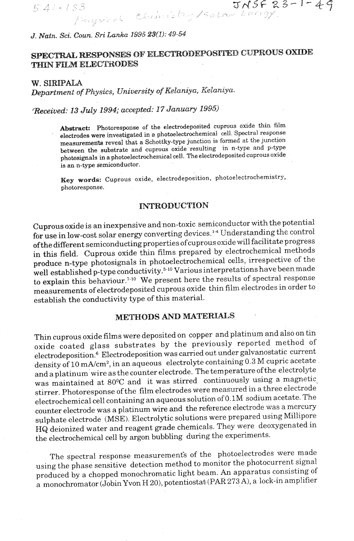J. Natn. Sci. Coun. Sri Lanka 1995 23(1): 49-54

# SPECTRAL RESPONSES OF ELECTRODEPOSITED CUPROUS OXIDE THIN FILM ELECTRODES

33 JNSF23-1-49<br>Fingural Chemistoy/Solar Energy

*W.* **SIRIPALA** 

 $541 \cdot 133$ 

*Department of Physics, University of Kelaniya, Kelaniya.* 

*'Eeceived: 63 July 1994; accepted: IS* **January 1995)** 

Abstract: Photoresponse of the electrodeposited cuprous oxide thin film electrodes were investigated in a photoelectrochemical cell. Spectral response measurements reveal that a Schottky-type junction is formed at the junction **between the substrate and cnprous oxide resulting in n-type and p-type**  photosignals in a photoelectrochemical cell. The electrodeposited cuprous oxide **is an n-type semiconductor.** 

 $k = \text{index}$  *Cuprous oxide, electrodeposition, photoelectrochemistry,* **ey words:**  $\cup$ 

## **INTRODUCTION**

Cuprous oxide is an inexpensive and non-toxic semiconductor with the potential for use in low-cost solar energy converting devices.'" Understanding **the** control ofthe different semiconducting properties ofcuprous oxide will facilitate progress in this field. Cuprous oxide thin films prepared by electrochemical methods produce n-type photosignals in photoelectrochemical ceils, irrespective of the well established p-type conductivity.<sup>5-10</sup> Various interpretations have been made to explain this behaviour.<sup>7-10</sup> We present here the results of spectral response measurements of electrodeposited cuprous oxide thin film electrodes in order to establish the conductivity type of this material.

# **MEWODS AND MATERIALS**

Thin cuprous oxide films were deposited on copper and platinum and also on tin oxide coated glass substrates by the previously reported method of electrodeposition.<sup>6</sup> Electrodeposition was carried out under galvanostatic current density of 10 mA/cm<sup>2</sup>, in an aqueous electrolyte containing 0.3 M cupric acetate and a platinum'wire as the counter electrode. The temperature ofthe electrolyte was maintained at 80°C and it was stirred continuously using a magnetic stirrer. Photoresponse of the film electrodes were measured in a three electrode electrochemical cell containing an aqueous solution of 0.1M sodium acetate. The counter electrode was a platinum wire and the reference electrode was a mercury sulphate electrode (MSE). Electrolytic solutions were prepared using Millipore HQ deionized water and reagent grade chemicals. They were deoxygenated in the electrochemical cell by argon bubbling during the experiments.

The spectral response measurements of the photoelectrodes were made using the phase sensitive detection method to monitor the photocurrent signal produced by a chopped monochromatic light beam. **An** apparatus consisting of a monochromator (Jobin Yvon H 20), potentiostat-(PAR 273 **A),** a lock-in amplifier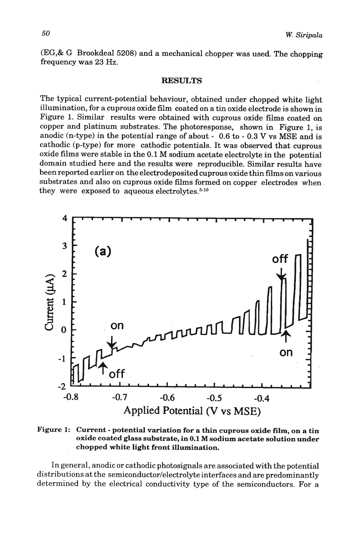(EG,& G Brookdeal 5208) and a mechanical chopper was used. The chopping frequency was 23 Hz.

#### **RESULTS**

The typical current-potential behaviour, obtained under chopped white light illumination, for a cuprous oxide film coated on a tin oxide electrode is shown in Figure 1. Similar results were obtained with cuprous oxide films coated on copper and platinum substrates. The photoresponse, shown in Figure 1, is anodic (n-type) in the potential range of about - 0.6 to - 0.3 V vs MSE and is cathodic (p-type) for more cathodic potentials. It was obsewed that cuprous oxide films were stable in the 0.1 **M** sodium acetate electrolyte in the potential domain studied here and the results were reproducible. Similar results have been reported earlier on the electrodeposited cuprousoxide thin films on various substrates and also on cuprous oxide films formed on copper electrodes when they were exposed to aqueous electrolytes. $5-10$ 



**Figure 1: Current** - **potential variation for a thin cuprous oxide film, on a tin oxide coated glass substrate, in 0.1 M sodium acetate solution under chopped white light front illumination.** 

In general, anodic or cathodic photosignals are associated with the potential distributions at the **semiconductor/electrolyte** interfaces and are predominantly determined by the electrical conductivity type of the semiconductors. For a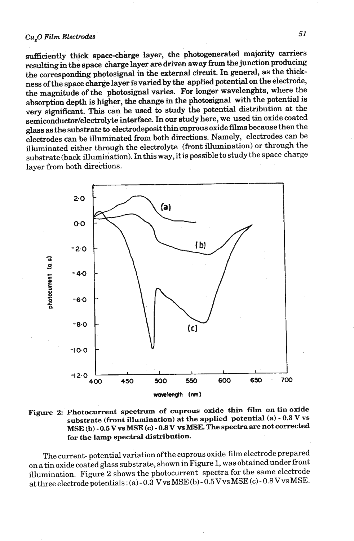#### Cu<sub>.</sub>O Film Electrodes

sufficiently thick space-charge layer, the photogenerated majority carriers resulting **in** the space charge layer **are** driven away **from** the **junction** producing the corresponding photosignal in the external circuit. In general, as the thickness of the space charge layer is varied by the applied potential on the electrode, the magnitude of the photosignal varies. For longer wavelenghts, where the absorption depth is higher, the change in the photosignal with the potential is very significant. This can be used to study the potential distribution at the semiconductor/electrolyte interface. In our study here, we used tin oxide coated glass as the substrate to el&odeposit thin cuprous oxide **films** because then the electrodes can be illuminated from both directions. Namely, electrodes can be illuminated either through the electrolyte (front illumination) or through the substrate (back illumination). **In** this way, it is possible to studythe space charge layer from both directions.





The current- potential variation of the cuprous oxide film electrode prepared on a tin oxide coated glass substrate, shownin Figure 1, was obtainedunder front illumination. Figure 2 shows the photocurrent spectra for the same electrode at three electrode potentials : (a) - 0.3 Vvs MSE **(b)** - 0.5Vvs MSE **(c)** - 0.8Vvs MSE.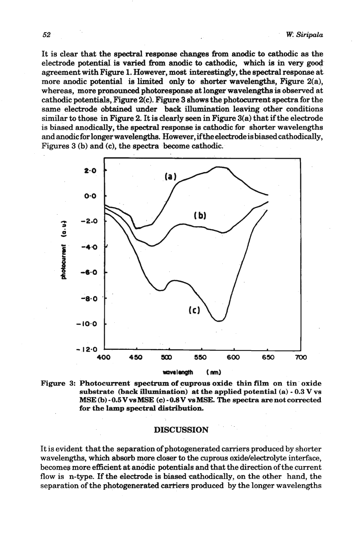It is clear that the spectral response **changes hm** anodic to cathodic **as** the electrode potential is varied **from** anodic to cathodic, which **is** in very goo& agreement with Figure 1. However, most interesthgly, the spectral response at more anodic potential is limited only to shorter wavelengths, Figure 2(a), whereas, more pronounced photoresponse at longer wavelengths is observed at cathodic potentials, Figure 2(c). Figure 3 shows the photocurrent spectra for the same electrode obtained under back illumination leaving other conditions similar to those in Figure 2. It is clearly seen in **Figure** 3(a) that if the electrode is biased anodically, the spectral response is cathodic for shorter wavelengths and anodic for longer wavelengths. However, if the electrode is biased cathodically, Figures 3 (b) and (c), the spectra become cathodic.



**-almgn, (nm)** 

Figure 3: Photocurrent spectrum of cuprous oxide thin film on tin oxide substrate (back illumination) at the applied potential (a) - 0.3 V ve **MSE** (b) - 0.5Vvs **MSE** (c) - 0.8V vs **MSE.** The spectra **are** not corrected for the lamp spectral distribution.

#### **DISCUSSION**

It is evident that the separation of photogenerated carriers produced by shorter wavelengths, which absorb more closer to the cuprous oxide/electrolyte interface, becomes more efficient at anodic potentials and that the direction of the current flow is n-type. If the electrode is biased cathodically, on the other hand, the separation of the photogenerated cartiers produced by the longer wavelengths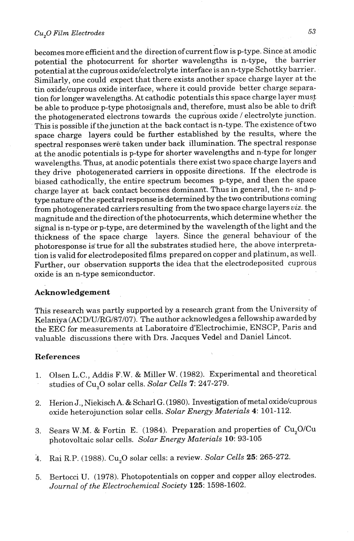#### *Cu,O Film Electrodes*

becomes more efficient and the direction of current flow is p-type. Since at anodic potential the photocurrent for shorter wavelengths is n-type, the barrier potential at the cuprous oxide/electrolyte interface is an n-type Schottky barrier. Similarly, one could expect that there exists another space charge layer at the tin oxide/cuprous oxide interface, where it could provide better charge separation for longer wavelengths. At cathodic potentials this space charge layer must be able to produce p-type photosignals and, therefore, must also be able to drift the photogenerated electrons towards the cuprous oxide / electrolyte junction. This is possible if the junction at the back contact is n-type. The existence of two space charge layers could be further established by the results, where the spectral responses were taken under back illumination. The spectral response at the anodic potentials is p-type for shorter wavelengths and n-type for longer wavelengths. Thus, at anodic potentials there exist two space charge layers and they drive photogenerated carriers in opposite directions. If the electrode is biased cathodically, the entire spectrum becomes p-type, and then the space charge layer at back contact becomes dominant. Thus in general, the n- and ptype nature of the spectral response is determined by the two contributions coming from photogenerated carriers resulting from the two space charge layers **uiz.** the magnitude and the direction of the photocurrents, which determine whether the signal is n-type or p-type, are determined by the wavelength of the light and the thickness of the space charge layers. Since the general behaviour of the photoresponse is'true for all the substrates studied here, the above interpretation is valid for electrodeposited films prepared on copper and platinum, as well. Further, our observation supports the idea that the electrodeposited cuprous oxide is an n-type semiconductor.

## Acknowledgement

This research was partly supported by a research grant from the University of Kelaniya (ACD/U/RG/87/07). The author acknowledges a fellowship awarded by the EEC for measurements at Laboratoire d'Electrochimie, ENSCP, Paris and valuable discussions there with Drs. Jacques Vedel and Daniel Lincot.

#### References

- 1. Olsen L.C., Addis F.W. & Miller W. (1982). Experimental and theoretical studies of Cu,O solar cells. *Solar Cells* 7: 247-279.
- **2.** Herion J., Niekisch A. & Scharl G. (1980). Investigation ofmetal oxide/cuprous oxide heterojunction solar cells. *Solar Energy Materials 4:* 101-112.
- 3. Sears W.M. & Fortin E. (1984). Preparation and properties of Cu,O/Cu photovoltaic solar cells. *Solar Energy Materials* **10:** 93-105
- 4. Rai R.P. (1988). Cu,O solar cells: a review. *Solar Cells* 25: 265-272.
- **5.** Bertocci U. (1978). Photopotentials on copper and copper alloy electrodes. *Journal of the Electrochemical Society* 125: 1598-1602.